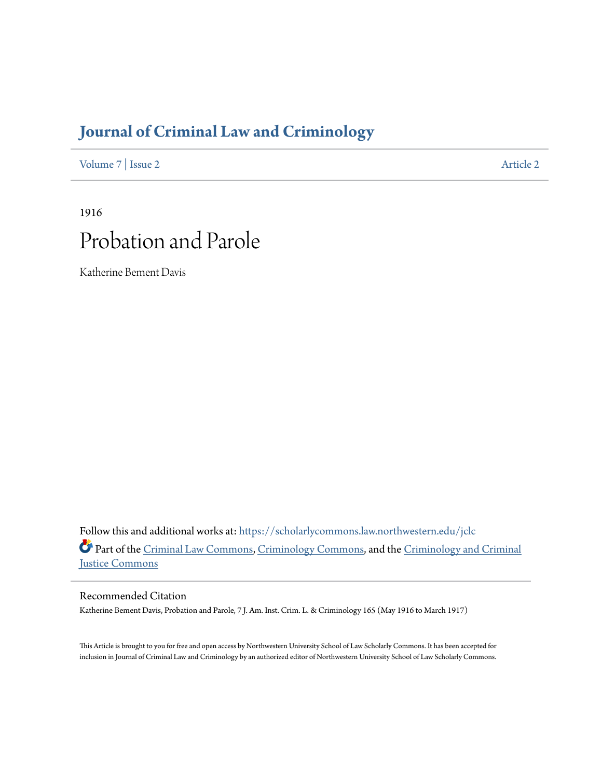# **[Journal of Criminal Law and Criminology](https://scholarlycommons.law.northwestern.edu/jclc?utm_source=scholarlycommons.law.northwestern.edu%2Fjclc%2Fvol7%2Fiss2%2F2&utm_medium=PDF&utm_campaign=PDFCoverPages)**

[Volume 7](https://scholarlycommons.law.northwestern.edu/jclc/vol7?utm_source=scholarlycommons.law.northwestern.edu%2Fjclc%2Fvol7%2Fiss2%2F2&utm_medium=PDF&utm_campaign=PDFCoverPages) | [Issue 2](https://scholarlycommons.law.northwestern.edu/jclc/vol7/iss2?utm_source=scholarlycommons.law.northwestern.edu%2Fjclc%2Fvol7%2Fiss2%2F2&utm_medium=PDF&utm_campaign=PDFCoverPages) [Article 2](https://scholarlycommons.law.northwestern.edu/jclc/vol7/iss2/2?utm_source=scholarlycommons.law.northwestern.edu%2Fjclc%2Fvol7%2Fiss2%2F2&utm_medium=PDF&utm_campaign=PDFCoverPages)

# 1916 Probation and Parole

Katherine Bement Davis

Follow this and additional works at: [https://scholarlycommons.law.northwestern.edu/jclc](https://scholarlycommons.law.northwestern.edu/jclc?utm_source=scholarlycommons.law.northwestern.edu%2Fjclc%2Fvol7%2Fiss2%2F2&utm_medium=PDF&utm_campaign=PDFCoverPages) Part of the [Criminal Law Commons](http://network.bepress.com/hgg/discipline/912?utm_source=scholarlycommons.law.northwestern.edu%2Fjclc%2Fvol7%2Fiss2%2F2&utm_medium=PDF&utm_campaign=PDFCoverPages), [Criminology Commons](http://network.bepress.com/hgg/discipline/417?utm_source=scholarlycommons.law.northwestern.edu%2Fjclc%2Fvol7%2Fiss2%2F2&utm_medium=PDF&utm_campaign=PDFCoverPages), and the [Criminology and Criminal](http://network.bepress.com/hgg/discipline/367?utm_source=scholarlycommons.law.northwestern.edu%2Fjclc%2Fvol7%2Fiss2%2F2&utm_medium=PDF&utm_campaign=PDFCoverPages) [Justice Commons](http://network.bepress.com/hgg/discipline/367?utm_source=scholarlycommons.law.northwestern.edu%2Fjclc%2Fvol7%2Fiss2%2F2&utm_medium=PDF&utm_campaign=PDFCoverPages)

# Recommended Citation

Katherine Bement Davis, Probation and Parole, 7 J. Am. Inst. Crim. L. & Criminology 165 (May 1916 to March 1917)

This Article is brought to you for free and open access by Northwestern University School of Law Scholarly Commons. It has been accepted for inclusion in Journal of Criminal Law and Criminology by an authorized editor of Northwestern University School of Law Scholarly Commons.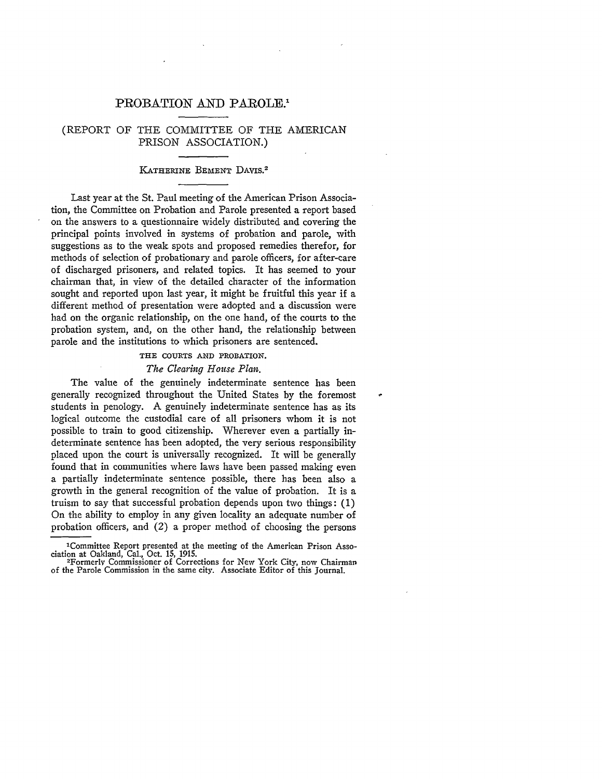# PROBATION AND PAROLE.<sup>1</sup>

## (REPORT OF THE COMMITTEE OF THE AMERICAN PRISON ASSOCIATION.)

### **KATHERINE BEMENT DAVIS.<sup>2</sup>**

Last year at the St. Paul meeting of the American Prison Association, the Committee on Probation and Parole presented a report based on the answers to a questionnaire widely distributed and covering the principal points involved in systems of probation and parole, with suggestions as to the weak spots and proposed remedies therefor, for methods of selection of probationary and parole officers, for after-care of discharged prisoners, and related topics. It has seemed to your chairman that, in view of the detailed character of the information sought and reported upon last year, it might be fruitful this year if a different method of presentation were adopted and a discussion were bad on the organic relationship, on the one hand, of the courts to the probation system, and, on the other hand, the relationship between parole and the institutions to which prisoners are sentenced.

#### THE **COURTS AND** PROBATION.

#### *The Clearing House Plan.*

The value of the genuinely indeterminate sentence has been generally recognized throughout the United States by the foremost students in penology. A genuinely indeterminate sentence has as its logical outcome the custodial care of all prisoners whom it is not possible to train to good citizenship. Wherever even a partially indeterminate sentence has been adopted, the very serious responsibility placed upon the court is universally recognized. It will be generally found that in communities where laws have been passed making even a partially indeterminate sentence possible, there has been also a growth in the general recognition of the value of probation. It is a truism to say that successful probation depends upon two things: (1) On the ability to employ in any given locality an adequate number of probation officers, and (2) a proper method of choosing the persons

<sup>&#</sup>x27;Committee Report presented at the meeting of the American Prison Association at Oakland, Cal., Oct. 15, 1915. 2Formerly Commissioner of Corrections for New York City, now Chairman

of the Parole Commission in the same city. Associate Editor of this Journal.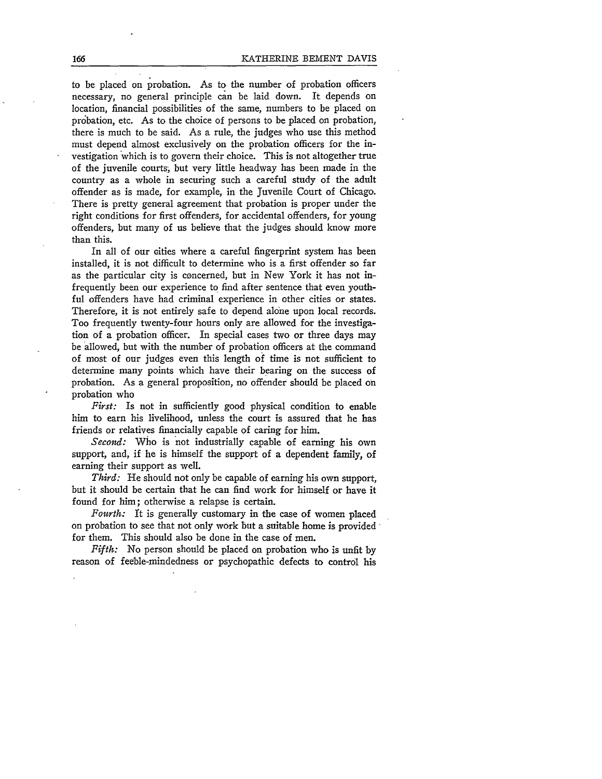to be placed on probation. As to the number of probation officers necessary, no general principle can be laid down. It depends on location, financial possibilities of the same, numbers to be placed on probation, etc. As to the choice of persons to be placed on probation, there is much to be said. As a rule, the judges who use this method must depend almost exclusively on the probation officers for the investigation which is to govern their choice. This is not altogether true of the juvenile courts, but very little headway has been made in the country as a whole in securing such a careful study of the adult offender as is made, for example, in the Juvenile Court of Chicago. There is pretty general agreement that probation is proper under the right conditions for first offenders, for accidental offenders, for young offenders, but many of us believe that the judges should know more than this.

In all of our cities where a careful fingerprint system has been installed, it is not difficult to determine who is a first offender so far as the particular city is concerned, but in New York it has not infrequently been our experience to find after sentence that even youthful offenders have had criminal experience in other cities or states. Therefore, it is not entirely safe to depend alone upon local records. Too frequently twenty-four hours only are allowed for the investigation of a probation officer. In special cases two or three days may be allowed, but with the number of probation officers at the command of most of our judges even this length of time is not sufficient to determine many points which have their bearing on the success of probation. As a general proposition, no offender should be placed on probation who

*First:* Is not in sufficiently good physical condition to enable him to earn his livelihood, unless the court is assured that he has friends or relatives financially capable of caring for him.

*Second:* Who is not industrially capable of earning his own support, and, if he is himself the support of a dependent family, of earning their support as well.

*Third:* He should not only be capable of earning his own support, but it should be certain that he can find work for himself or have it found for him; otherwise a relapse is certain.

*Fourth:* It is generally customary in the case of women placed on probation to see that not only work but a suitable home is provided for them. This should also be done in the case of men.

Fifth: No person should be placed on probation who is unfit by reason of feeble-mindedness or psychopathic defects to control his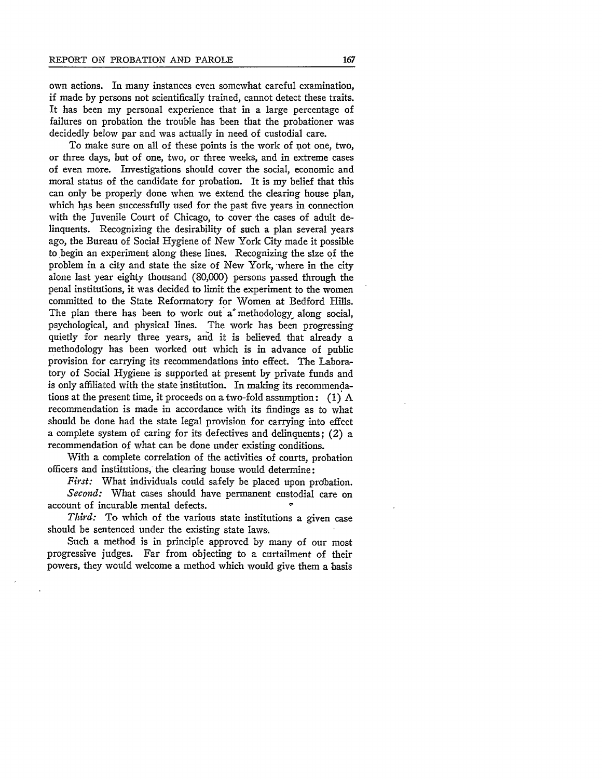own actions. In many instances even somewhat careful examination, if made by persons not scientifically trained, cannot detect these traits. It has been my personal experience that in a large percentage of failures on probation the trouble has been that the probationer was decidedly below par and was actually in need of custodial care.

To make sure on all of these points is the work of not one, two, or three days, but of one, two, or three weeks, and in extreme cases of even more. Investigations should cover the social, economic and moral status of the candidate for probation. It is my belief that this can only be properly done when we extend the clearing house plan, which has been successfully used for the past five years in connection with the Juvenile Court of Chicago, to cover the cases of adult delinquents. Recognizing the desirability of such a plan several years ago, the Bureau of Social Hygiene of New York City made it possible to begin an experiment along these lines. Recognizing the size of the problem in a city and state the size of New York, where in the city alone last year eighty thousand (80,000) persons passed through the penal institutions, it was decided to limit the experiment to the women committed to the State Reformatory for Women at Bedford Hills. The plan there has been to work out a<sup>°</sup> methodology along social, psychological, and physical lines. The work has been progressing quietly for nearly three years, and it is believed that already a methodology has been worked out which is in advance of public provision for carrying its recommendations into effect. The Laboratory of Social Hygiene is supported at present by private funds and is only affiliated with the state institution. In making its recommendations at the present time, it proceeds on a two-fold assumption: (1) A recommendation is made in accordance with its findings as to what should be done had the state legal provision for carrying into effect a complete system of caring for its defectives and delinquents; (2) a recommendation of what can be done under existing conditions.

With a complete correlation of the activities of courts, probation officers and institutions, the clearing house would determine:

*First:* What individuals could safely be placed upon probation. *Second:* What cases should have permanent custodial care on account of incurable mental defects.

*Third:* To which of the various state institutions a given case should be sentenced under the existing state laws.

Such a method is in principle approved by many of our most progressive judges. Far from objecting to a curtailment of their powers, they would welcome a method which would give them a basis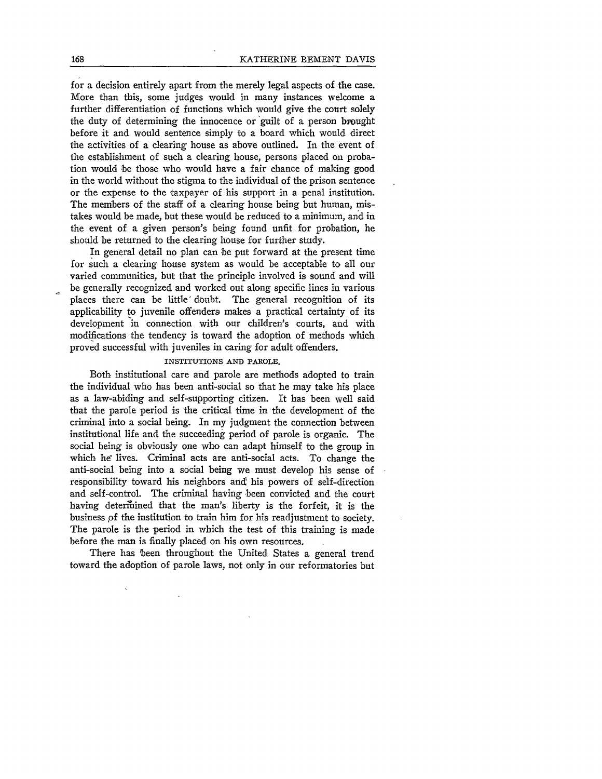for a decision entirely apart from the merely legal aspects of the case. More than this, some judges would in many instances welcome a further differentiation of functions which would give the court solely the duty of determining the innocence or guilt of a person brought before it and would sentence simply to a board which would direct the activities of a clearing house as above outlined. In the event of the establishment of such a clearing house, persons placed on probation would be those who would have a fair chance of making good in the world without the stigma to the individual of the prison sentence or the expense to the taxpayer of his support in a penal institution. The members of the staff of a clearing house being but human, mistakes would be made, but these would be reduced to a minimum, and in the event of a given person's being found unfit for probation, he should be returned to the clearing house for further study.

In general detail no plan can be put forward at the present time for such a clearing house system as would be acceptable to all our varied communities, but that the principle involved is sound and will be generally recognized and worked out along specific lines in various places there can be little' doubt. The general recognition of its applicability to juvenile offenders makes a practical certainty of its development in connection with our children's courts, and with modifications the tendency is toward the adoption of methods which proved successful with juveniles in caring for adult offenders.

#### **INSTITUTIONS AND** PAROLE.

Both institutional care and parole are methods adopted to train the individual who has been anti-social so that he may take his place as a law-abiding and self-supporting citizen. It has been well said that the parole period is the critical time in the development of the criminal into a social being. In my judgment the connection between institutional life and the succeeding period of parole is organic. The social being is obviously one who can adapt himself to the group in which he lives. Criminal acts are anti-social acts. To change the anti-social being into a social being we must develop his sense of responsibility toward his neighbors and his powers of self-direction and self-control. The criminal having been convicted and the court having determined that the man's liberty is the forfeit, it is the business pf the institution to train him for his readjustment to society. The parole is the period in which the test of this training is made before the man is finally placed on his own resources.

There has been throughout the United States a general trend toward the adoption of parole laws, not only in our reformatories but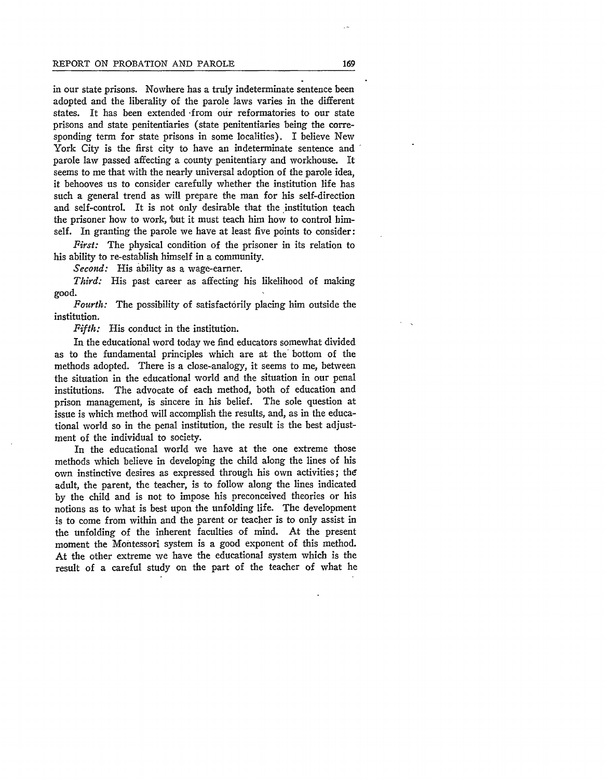in our state prisons. Nowhere has a truly indeterminate sentence been adopted and the liberality of the parole laws varies in the different states. It has been extended -from our reformatories to our state prisons and state penitentiaries (state penitentiaries being the corresponding term for state prisons in some localities). I believe New York City is the first city to have an indeterminate sentence and parole law passed affecting a county penitentiary and workhouse. It seems to me that with the nearly universal adoption of the parole idea, it behooves us to consider carefully whether the institution life has such a general trend as will prepare the man for his self-direction and self-control. It is not only desirable that the institution teach the prisoner how to work, but it must teach him how to control himself. In granting the parole we have at least five points to consider:

*First:* The physical condition of the prisoner in its relation to his ability to re-establish himself in a community.

*Second:* His ability as a wage-earner.

*Third:* His past career as affecting his likelihood of making good.

*Fourth:* The possibility of satisfactorily placing him outside the institution.

*Fifth:* His conduct in the institution.

In the educational word today we find educators somewhat divided as to the fundamental principles which are at the bottom of the methods adopted. There is a close-analogy, it seems to me, between the situation in the educational world and the situation in our penal institutions. The advocate of each method, both of education and prison management, is sincere in his belief. The sole question at issue is which method will accomplish the results, and, as in the educational world so in the penal institution, the result is the best adjustment of the individual to society.

In the educational world we have at the one extreme those methods which believe in developing the child along the lines of his own instinctive desires as expressed through his own activities; the adult, the parent, the teacher, is to follow along the lines indicated **by** the child and is not to impose his preconceived theories or his notions as to what is best upon the unfolding life. The development is to come from within and the parent or teacher is to only assist in the unfolding of the inherent faculties of mind. At the present moment the Montessori system is a good exponent of this method. At the other extreme we have the educational system which is the result of a careful study on the part of the teacher of what he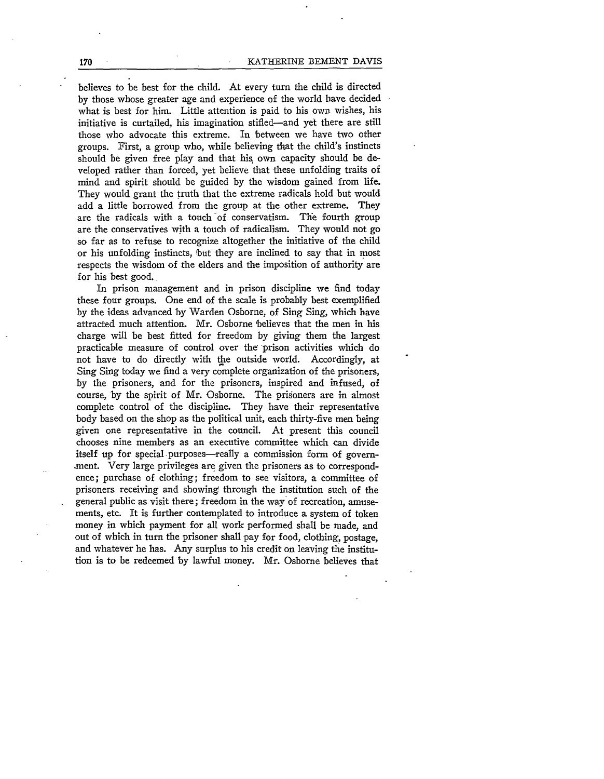believes to be best for the child. At every turn the child is directed by those whose greater age and experience of the world have decided what is best for him. Little attention is paid to his own wishes, his initiative is curtailed, his imagination stifled—and yet there are still those who advocate this extreme. In between we have two other groups. First, a group who, while believing that the child's instincts should be given free play and that his, own capacity should be developed rather than forced, yet believe that these unfolding traits of mind and spirit should be guided by the wisdom gained from life. They would grant the truth that the extreme radicals hold but would add a little borrowed from the group at the other extreme. They are the radicals with a touch of conservatism. The fourth group are the conservatives with a touch of radicalism. They would not go so far as to refuse to recognize altogether the initiative of the child or his unfolding instincts, but they are inclined to say that in most respects the wisdom of the elders and the imposition of authority are for his best good.

In prison management and in prison discipline we find today these four groups. One end of the scale is probably best exemplified by the ideas advanced by Warden Osborne, of Sing Sing, which have attracted much attention. Mr. Osborne believes that the men in his charge will be best fitted for freedom by giving them the largest practicable measure of control over the prison activities which do not have to do directly with the outside world. Accordingly, at Sing Sing today we find a very complete organization of the prisoners, by the prisoners, and for the prisoners, inspired and infused, of course, by the spirit of Mr. Osborne. The prigoners are in almost complete control of the discipline. They have their representative body based on the shop as the political unit, each thirty-five men being given one representative in the council. At present this council chooses nine members as an executive committee which can divide itself up for special purposes—really a commission form of govern-.ment. Very large privileges are given the prisoners as to correspondence; purchase of clothing; freedom to see visitors, a committee of prisoners receiving and showing through the institution such of the general public as visit there; freedom in the way of recreation, amusements, etc. It is further contemplated to introduce a system of token money in which payment for all work performed shall be made, and out of which in turn the prisoner shall pay for food, clothing, postage, and whatever he has. Any surplus to his credit on leaving the institution is to be redeemed by lawful money. Mr. Osborne believes that

**170**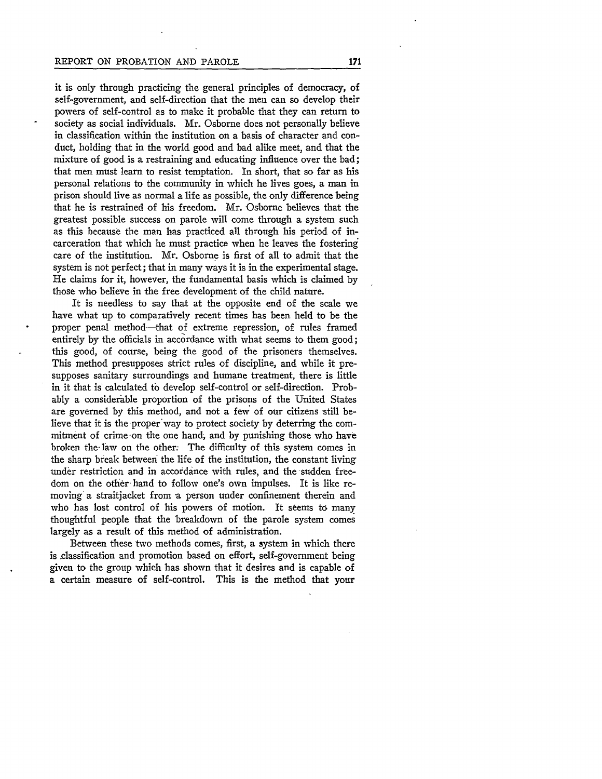it is only through practicing the general principles of democracy, of self-government, and self-direction that the men can so develop their powers of self-control as to make it probable that they can return to society as social individuals. Mr. Osborne does not personally believe in classification within the institution on a basis of character and conduct, holding that in the world good and bad alike meet, and that the mixture of good is a restraining and educating influence over the bad; that men must learn to resist temptation. In short, that so far as his personal relations to the community in which he lives goes, a man in prison should live as normal a life as possible, the only difference being that he is restrained of his freedom. Mr. Osborne believes that the greatest possible success on parole will come through a system such as this because the man has practiced all through his period of incarceration that which he must practice when he leaves the fostering care of the institution. Mr. Osborne is first of all to admit that the system is not perfect; that in many ways it is in the experimental stage. He claims for it, however, the fundamental basis which is claimed by those who believe in the free development of the child nature.

It is needless to say that at the opposite end of the scale we have what up to comparatively recent times has been held to be the proper penal method-that of extreme repression, of rules framed entirely by the officials in accordance with what seems to them good; this good, of course, being the good of the prisoners themselves. This method presupposes strict rules of discipline, and while it presupposes sanitary surroundings and humane treatment, there is little in it that is calculated to develop self-control or self-direction. Probably a considerable proportion of the prisons of the United States are governed by this method, and not a few of our citizens still believe that it is the-proper'way to protect society by deterring the commitment of crime-on the one hand, and by punishing those who have broken the-law on the other. The difficulty of this system comes in the sharp break between' the life of the institution, the constant living under restriction and in accordance with rules, and the sudden freedom on the other hand to follow one's own impulses. It is like removing a straitjacket from a person under confinement therein and who has lost control of his powers of motion. It seems to many thoughtful people that the breakdown of the parole system comes largely as a result of this method of administration.

Between these two methods comes, first, a system in which there is classification and promotion based on effort, self-government being given to the group which has shown that it desires and is capable of a certain measure of self-control. This is the method that your